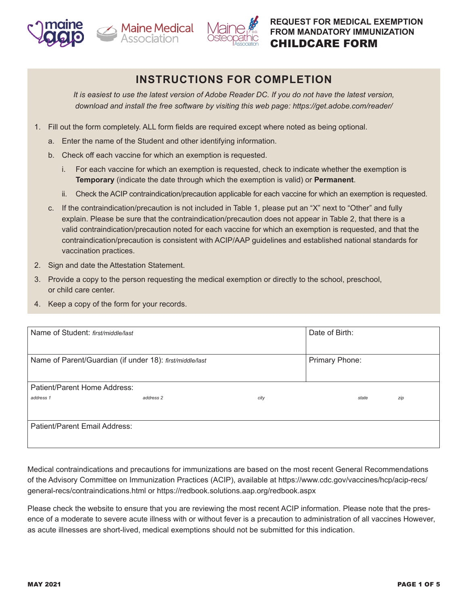





# **INSTRUCTIONS FOR COMPLETION**

*It is easiest to use the latest version of Adobe Reader DC. If you do not have the latest version, download and install the free software by visiting this web page: https://get.adobe.com/reader/*

- 1. Fill out the form completely. ALL form fields are required except where noted as being optional.
	- a. Enter the name of the Student and other identifying information.
	- b. Check off each vaccine for which an exemption is requested.
		- i. For each vaccine for which an exemption is requested, check to indicate whether the exemption is **Temporary** (indicate the date through which the exemption is valid) or **Permanent**.
		- ii. Check the ACIP contraindication/precaution applicable for each vaccine for which an exemption is requested.
	- c. If the contraindication/precaution is not included in Table 1, please put an "X" next to "Other" and fully explain. Please be sure that the contraindication/precaution does not appear in Table 2, that there is a valid contraindication/precaution noted for each vaccine for which an exemption is requested, and that the contraindication/precaution is consistent with ACIP/AAP guidelines and established national standards for vaccination practices.
- 2. Sign and date the Attestation Statement.
- 3. Provide a copy to the person requesting the medical exemption or directly to the school, preschool, or child care center.
- 4. Keep a copy of the form for your records.

| Name of Student: first/middle/last                       |           | Date of Birth: |                |       |     |
|----------------------------------------------------------|-----------|----------------|----------------|-------|-----|
| Name of Parent/Guardian (if under 18): first/middle/last |           |                | Primary Phone: |       |     |
| Patient/Parent Home Address:                             |           |                |                |       |     |
| address 1                                                | address 2 | city           |                | state | zip |
| Patient/Parent Email Address:                            |           |                |                |       |     |

Medical contraindications and precautions for immunizations are based on the most recent General Recommendations of the Advisory Committee on Immunization Practices (ACIP), available at https://www.cdc.gov/vaccines/hcp/acip-recs/ general-recs/contraindications.html or https://redbook.solutions.aap.org/redbook.aspx

Please check the website to ensure that you are reviewing the most recent ACIP information. Please note that the presence of a moderate to severe acute illness with or without fever is a precaution to administration of all vaccines However, as acute illnesses are short-lived, medical exemptions should not be submitted for this indication.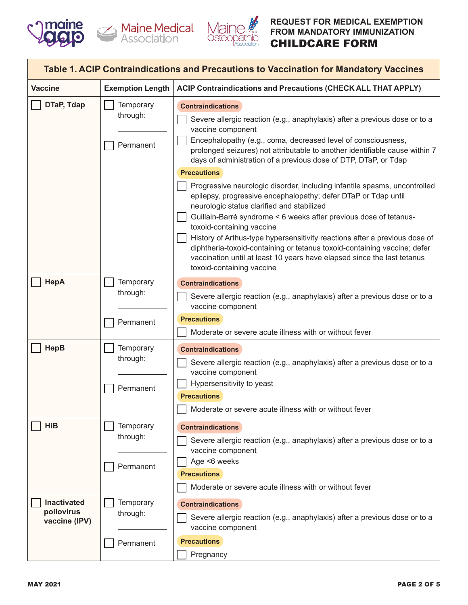





| Table 1. ACIP Contraindications and Precautions to Vaccination for Mandatory Vaccines |                                    |                                                                                                                                                                                                                                                                                                                                                                                                                                                                                                                                                                                                                                                                                                                                                                                                                                                                                                                                       |  |  |
|---------------------------------------------------------------------------------------|------------------------------------|---------------------------------------------------------------------------------------------------------------------------------------------------------------------------------------------------------------------------------------------------------------------------------------------------------------------------------------------------------------------------------------------------------------------------------------------------------------------------------------------------------------------------------------------------------------------------------------------------------------------------------------------------------------------------------------------------------------------------------------------------------------------------------------------------------------------------------------------------------------------------------------------------------------------------------------|--|--|
| <b>Vaccine</b>                                                                        | <b>Exemption Length</b>            | <b>ACIP Contraindications and Precautions (CHECK ALL THAT APPLY)</b>                                                                                                                                                                                                                                                                                                                                                                                                                                                                                                                                                                                                                                                                                                                                                                                                                                                                  |  |  |
| DTaP, Tdap                                                                            | Temporary<br>through:<br>Permanent | <b>Contraindications</b><br>Severe allergic reaction (e.g., anaphylaxis) after a previous dose or to a<br>vaccine component<br>Encephalopathy (e.g., coma, decreased level of consciousness,<br>prolonged seizures) not attributable to another identifiable cause within 7<br>days of administration of a previous dose of DTP, DTaP, or Tdap<br><b>Precautions</b><br>Progressive neurologic disorder, including infantile spasms, uncontrolled<br>epilepsy, progressive encephalopathy; defer DTaP or Tdap until<br>neurologic status clarified and stabilized<br>Guillain-Barré syndrome < 6 weeks after previous dose of tetanus-<br>toxoid-containing vaccine<br>History of Arthus-type hypersensitivity reactions after a previous dose of<br>diphtheria-toxoid-containing or tetanus toxoid-containing vaccine; defer<br>vaccination until at least 10 years have elapsed since the last tetanus<br>toxoid-containing vaccine |  |  |
| HepA                                                                                  | Temporary<br>through:<br>Permanent | <b>Contraindications</b><br>Severe allergic reaction (e.g., anaphylaxis) after a previous dose or to a<br>vaccine component<br><b>Precautions</b><br>Moderate or severe acute illness with or without fever                                                                                                                                                                                                                                                                                                                                                                                                                                                                                                                                                                                                                                                                                                                           |  |  |
| <b>HepB</b>                                                                           | Temporary<br>through:<br>Permanent | <b>Contraindications</b><br>Severe allergic reaction (e.g., anaphylaxis) after a previous dose or to a<br>vaccine component<br>Hypersensitivity to yeast<br><b>Precautions</b><br>Moderate or severe acute illness with or without fever                                                                                                                                                                                                                                                                                                                                                                                                                                                                                                                                                                                                                                                                                              |  |  |
| HiB                                                                                   | Temporary<br>through:<br>Permanent | <b>Contraindications</b><br>Severe allergic reaction (e.g., anaphylaxis) after a previous dose or to a<br>vaccine component<br>Age <6 weeks<br><b>Precautions</b><br>Moderate or severe acute illness with or without fever                                                                                                                                                                                                                                                                                                                                                                                                                                                                                                                                                                                                                                                                                                           |  |  |
| <b>Inactivated</b><br>pollovirus<br>vaccine (IPV)                                     | Temporary<br>through:              | <b>Contraindications</b><br>Severe allergic reaction (e.g., anaphylaxis) after a previous dose or to a<br>vaccine component                                                                                                                                                                                                                                                                                                                                                                                                                                                                                                                                                                                                                                                                                                                                                                                                           |  |  |
|                                                                                       | Permanent                          | <b>Precautions</b><br>Pregnancy                                                                                                                                                                                                                                                                                                                                                                                                                                                                                                                                                                                                                                                                                                                                                                                                                                                                                                       |  |  |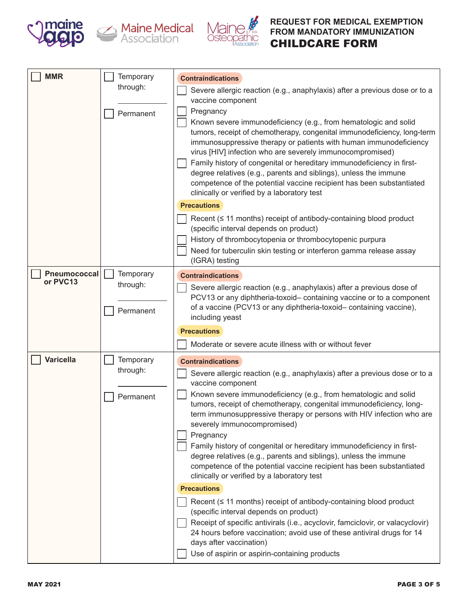





| <b>MMR</b>               | <b>Temporary</b><br>through:<br>Permanent | <b>Contraindications</b><br>Severe allergic reaction (e.g., anaphylaxis) after a previous dose or to a<br>vaccine component<br>Pregnancy<br>Known severe immunodeficiency (e.g., from hematologic and solid<br>tumors, receipt of chemotherapy, congenital immunodeficiency, long-term<br>immunosuppressive therapy or patients with human immunodeficiency<br>virus [HIV] infection who are severely immunocompromised)<br>Family history of congenital or hereditary immunodeficiency in first-<br>degree relatives (e.g., parents and siblings), unless the immune<br>competence of the potential vaccine recipient has been substantiated<br>clinically or verified by a laboratory test<br><b>Precautions</b>                                                                                                                                                                                                                                                                                                                                 |
|--------------------------|-------------------------------------------|----------------------------------------------------------------------------------------------------------------------------------------------------------------------------------------------------------------------------------------------------------------------------------------------------------------------------------------------------------------------------------------------------------------------------------------------------------------------------------------------------------------------------------------------------------------------------------------------------------------------------------------------------------------------------------------------------------------------------------------------------------------------------------------------------------------------------------------------------------------------------------------------------------------------------------------------------------------------------------------------------------------------------------------------------|
|                          |                                           | Recent $($ $\leq$ 11 months) receipt of antibody-containing blood product<br>(specific interval depends on product)<br>History of thrombocytopenia or thrombocytopenic purpura<br>Need for tuberculin skin testing or interferon gamma release assay<br>(IGRA) testing                                                                                                                                                                                                                                                                                                                                                                                                                                                                                                                                                                                                                                                                                                                                                                             |
| Pneumococcal<br>or PVC13 | Temporary<br>through:<br>Permanent        | <b>Contraindications</b><br>Severe allergic reaction (e.g., anaphylaxis) after a previous dose of<br>PCV13 or any diphtheria-toxoid- containing vaccine or to a component<br>of a vaccine (PCV13 or any diphtheria-toxoid-containing vaccine),<br>including yeast<br><b>Precautions</b><br>Moderate or severe acute illness with or without fever                                                                                                                                                                                                                                                                                                                                                                                                                                                                                                                                                                                                                                                                                                  |
| <b>Varicella</b>         | Temporary<br>through:<br>Permanent        | <b>Contraindications</b><br>Severe allergic reaction (e.g., anaphylaxis) after a previous dose or to a<br>vaccine component<br>Known severe immunodeficiency (e.g., from hematologic and solid<br>tumors, receipt of chemotherapy, congenital immunodeficiency, long-<br>term immunosuppressive therapy or persons with HIV infection who are<br>severely immunocompromised)<br>Pregnancy<br>Family history of congenital or hereditary immunodeficiency in first-<br>degree relatives (e.g., parents and siblings), unless the immune<br>competence of the potential vaccine recipient has been substantiated<br>clinically or verified by a laboratory test<br><b>Precautions</b><br>Recent $($ $\leq$ 11 months) receipt of antibody-containing blood product<br>(specific interval depends on product)<br>Receipt of specific antivirals (i.e., acyclovir, famciclovir, or valacyclovir)<br>24 hours before vaccination; avoid use of these antiviral drugs for 14<br>days after vaccination)<br>Use of aspirin or aspirin-containing products |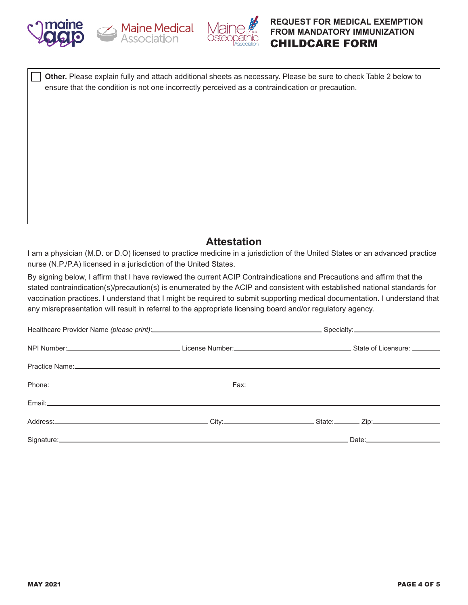





 **Other.** Please explain fully and attach additional sheets as necessary. Please be sure to check Table 2 below to ensure that the condition is not one incorrectly perceived as a contraindication or precaution.

# **Attestation**

I am a physician (M.D. or D.O) licensed to practice medicine in a jurisdiction of the United States or an advanced practice nurse (N.P./P.A) licensed in a jurisdiction of the United States.

By signing below, I affirm that I have reviewed the current ACIP Contraindications and Precautions and affirm that the stated contraindication(s)/precaution(s) is enumerated by the ACIP and consistent with established national standards for vaccination practices. I understand that I might be required to submit supporting medical documentation. I understand that any misrepresentation will result in referral to the appropriate licensing board and/or regulatory agency.

| NPI Number: State of Licensum Control of License Number: Control of Licensum Control of Licensure: Control of Licensure: Control of Licensure: Control of Licensure: Control of Licensure: Control of Licensure: Control of Li |  |  |  |
|--------------------------------------------------------------------------------------------------------------------------------------------------------------------------------------------------------------------------------|--|--|--|
| Practice Name: No. 2006. The Contract of the Contract of the Contract of the Contract of the Contract of the Contract of the Contract of the Contract of the Contract of the Contract of the Contract of the Contract of the C |  |  |  |
|                                                                                                                                                                                                                                |  |  |  |
| Email: North American Communication of the Communication of the Communication of the Communication of the Communication of the Communication of the Communication of the Communication of the Communication of the Communicati |  |  |  |
|                                                                                                                                                                                                                                |  |  |  |
|                                                                                                                                                                                                                                |  |  |  |